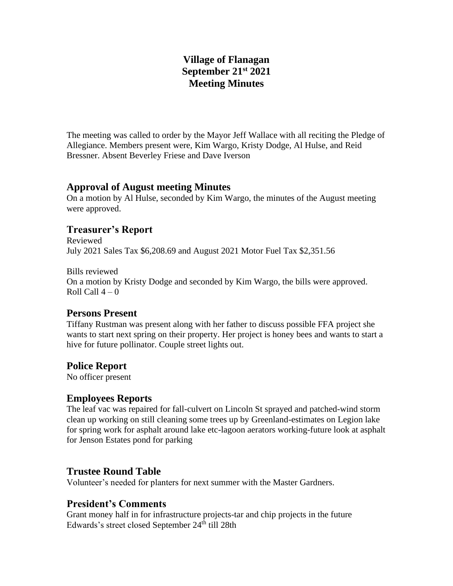# **Village of Flanagan September 21st 2021 Meeting Minutes**

The meeting was called to order by the Mayor Jeff Wallace with all reciting the Pledge of Allegiance. Members present were, Kim Wargo, Kristy Dodge, Al Hulse, and Reid Bressner. Absent Beverley Friese and Dave Iverson

## **Approval of August meeting Minutes**

On a motion by Al Hulse, seconded by Kim Wargo, the minutes of the August meeting were approved.

## **Treasurer's Report**

Reviewed July 2021 Sales Tax \$6,208.69 and August 2021 Motor Fuel Tax \$2,351.56

Bills reviewed On a motion by Kristy Dodge and seconded by Kim Wargo, the bills were approved. Roll Call  $4-0$ 

## **Persons Present**

Tiffany Rustman was present along with her father to discuss possible FFA project she wants to start next spring on their property. Her project is honey bees and wants to start a hive for future pollinator. Couple street lights out.

## **Police Report**

No officer present

## **Employees Reports**

The leaf vac was repaired for fall-culvert on Lincoln St sprayed and patched-wind storm clean up working on still cleaning some trees up by Greenland-estimates on Legion lake for spring work for asphalt around lake etc-lagoon aerators working-future look at asphalt for Jenson Estates pond for parking

## **Trustee Round Table**

Volunteer's needed for planters for next summer with the Master Gardners.

## **President's Comments**

Grant money half in for infrastructure projects-tar and chip projects in the future Edwards's street closed September 24<sup>th</sup> till 28th